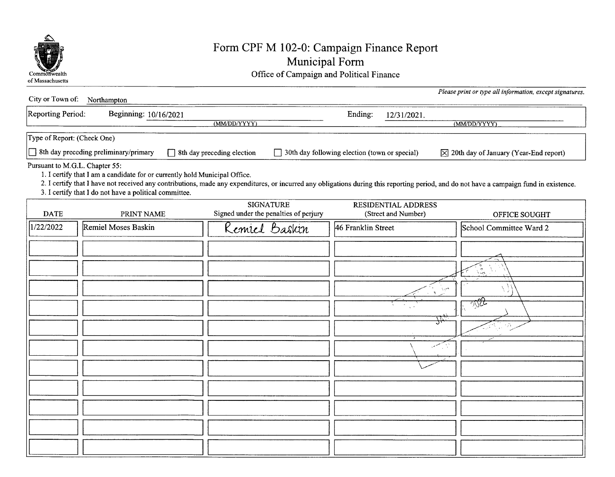

## Form CPF M 102-0: Campaign Finance Report Municipal Form

Commonwealth Commonwealth Common Common Common Common Common Common Common Common Common Common Common Common Common Common Common Common Common Common Common Common Common Common Common Common Common Common Common Common

| City or Town of: Northampton                                                                                                                                                                                                                                                                                                                                      |                       |                                                           |                                            | Please print or type all information, except signatures. |  |  |  |
|-------------------------------------------------------------------------------------------------------------------------------------------------------------------------------------------------------------------------------------------------------------------------------------------------------------------------------------------------------------------|-----------------------|-----------------------------------------------------------|--------------------------------------------|----------------------------------------------------------|--|--|--|
| Reporting Period:                                                                                                                                                                                                                                                                                                                                                 | Beginning: 10/16/2021 | (MM/DD/YYYY)                                              | Ending:<br>12/31/2021.                     | (MM/DD/YYYY)                                             |  |  |  |
| Type of Report: (Check One)                                                                                                                                                                                                                                                                                                                                       |                       |                                                           |                                            |                                                          |  |  |  |
| $\Box$ 8th day preceding preliminary/primary<br>8th day preceding election<br>30th day following election (town or special)<br>$\boxtimes$ 20th day of January (Year-End report)                                                                                                                                                                                  |                       |                                                           |                                            |                                                          |  |  |  |
| Pursuant to M.G.L. Chapter 55:<br>1. I certify that I am a candidate for or currently hold Municipal Office.<br>2. I certify that I have not received any contributions, made any expenditures, or incurred any obligations during this reporting period, and do not have a campaign fund in existence.<br>3. I certify that I do not have a political committee. |                       |                                                           |                                            |                                                          |  |  |  |
| <b>DATE</b>                                                                                                                                                                                                                                                                                                                                                       | PRINT NAME            | <b>SIGNATURE</b><br>Signed under the penalties of perjury | RESIDENTIAL ADDRESS<br>(Street and Number) | OFFICE SOUGHT                                            |  |  |  |
| 1/22/2022                                                                                                                                                                                                                                                                                                                                                         | Remiel Moses Baskin   | Remiel Baskin                                             | 46 Franklin Street                         | School Committee Ward 2                                  |  |  |  |
|                                                                                                                                                                                                                                                                                                                                                                   |                       |                                                           |                                            |                                                          |  |  |  |
|                                                                                                                                                                                                                                                                                                                                                                   |                       |                                                           |                                            |                                                          |  |  |  |
|                                                                                                                                                                                                                                                                                                                                                                   |                       |                                                           | $\mathbf{A}$                               | اسريا                                                    |  |  |  |
|                                                                                                                                                                                                                                                                                                                                                                   |                       |                                                           |                                            | <u>- ন্যুই-</u>                                          |  |  |  |
|                                                                                                                                                                                                                                                                                                                                                                   |                       |                                                           |                                            | #<br>75                                                  |  |  |  |
|                                                                                                                                                                                                                                                                                                                                                                   |                       |                                                           |                                            | C۷,                                                      |  |  |  |
|                                                                                                                                                                                                                                                                                                                                                                   |                       |                                                           |                                            |                                                          |  |  |  |
|                                                                                                                                                                                                                                                                                                                                                                   |                       |                                                           |                                            |                                                          |  |  |  |
|                                                                                                                                                                                                                                                                                                                                                                   |                       |                                                           |                                            |                                                          |  |  |  |
|                                                                                                                                                                                                                                                                                                                                                                   |                       |                                                           |                                            |                                                          |  |  |  |
|                                                                                                                                                                                                                                                                                                                                                                   |                       |                                                           |                                            |                                                          |  |  |  |